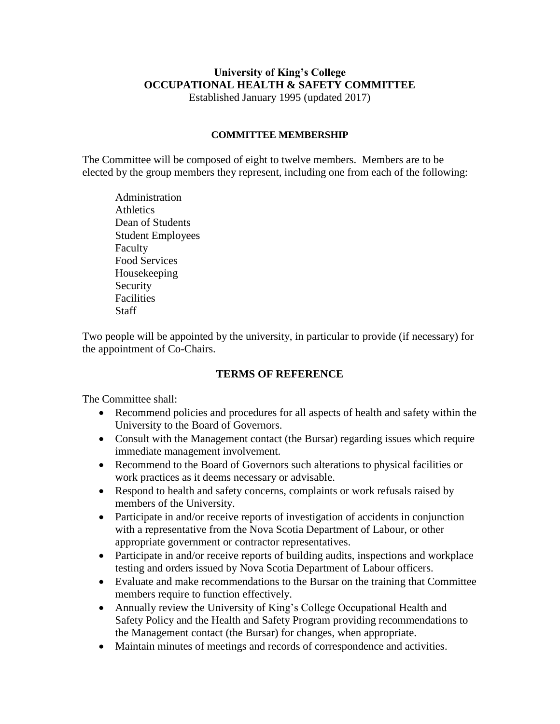# **University of King's College OCCUPATIONAL HEALTH & SAFETY COMMITTEE**

Established January 1995 (updated 2017)

#### **COMMITTEE MEMBERSHIP**

The Committee will be composed of eight to twelve members. Members are to be elected by the group members they represent, including one from each of the following:

Administration **Athletics** Dean of Students Student Employees Faculty Food Services Housekeeping Security Facilities **Staff** 

Two people will be appointed by the university, in particular to provide (if necessary) for the appointment of Co-Chairs.

# **TERMS OF REFERENCE**

The Committee shall:

- Recommend policies and procedures for all aspects of health and safety within the University to the Board of Governors.
- Consult with the Management contact (the Bursar) regarding issues which require immediate management involvement.
- Recommend to the Board of Governors such alterations to physical facilities or work practices as it deems necessary or advisable.
- Respond to health and safety concerns, complaints or work refusals raised by members of the University.
- Participate in and/or receive reports of investigation of accidents in conjunction with a representative from the Nova Scotia Department of Labour, or other appropriate government or contractor representatives.
- Participate in and/or receive reports of building audits, inspections and workplace testing and orders issued by Nova Scotia Department of Labour officers.
- Evaluate and make recommendations to the Bursar on the training that Committee members require to function effectively.
- Annually review the University of King's College Occupational Health and Safety Policy and the Health and Safety Program providing recommendations to the Management contact (the Bursar) for changes, when appropriate.
- Maintain minutes of meetings and records of correspondence and activities.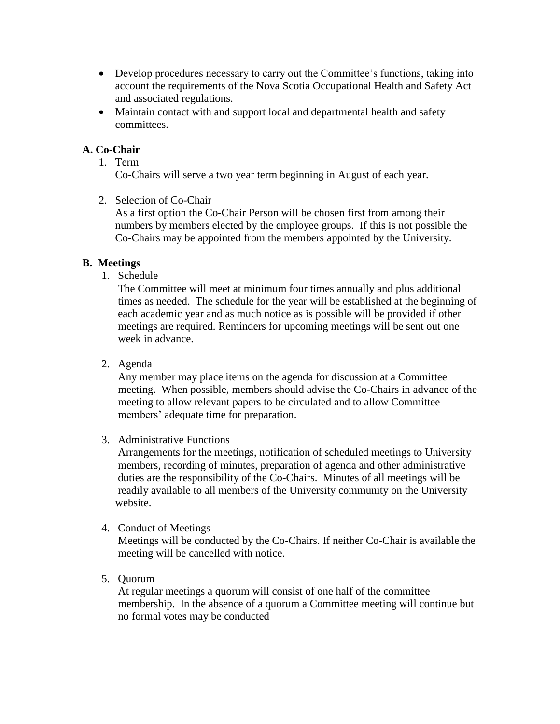- Develop procedures necessary to carry out the Committee's functions, taking into account the requirements of the Nova Scotia Occupational Health and Safety Act and associated regulations.
- Maintain contact with and support local and departmental health and safety committees.

# **A. Co-Chair**

1. Term

Co-Chairs will serve a two year term beginning in August of each year.

2. Selection of Co-Chair

As a first option the Co-Chair Person will be chosen first from among their numbers by members elected by the employee groups. If this is not possible the Co-Chairs may be appointed from the members appointed by the University.

## **B. Meetings**

1. Schedule

The Committee will meet at minimum four times annually and plus additional times as needed. The schedule for the year will be established at the beginning of each academic year and as much notice as is possible will be provided if other meetings are required. Reminders for upcoming meetings will be sent out one week in advance.

2. Agenda

Any member may place items on the agenda for discussion at a Committee meeting. When possible, members should advise the Co-Chairs in advance of the meeting to allow relevant papers to be circulated and to allow Committee members' adequate time for preparation.

3. Administrative Functions

Arrangements for the meetings, notification of scheduled meetings to University members, recording of minutes, preparation of agenda and other administrative duties are the responsibility of the Co-Chairs. Minutes of all meetings will be readily available to all members of the University community on the University website.

4. Conduct of Meetings

Meetings will be conducted by the Co-Chairs. If neither Co-Chair is available the meeting will be cancelled with notice.

5. Quorum

 At regular meetings a quorum will consist of one half of the committee membership. In the absence of a quorum a Committee meeting will continue but no formal votes may be conducted